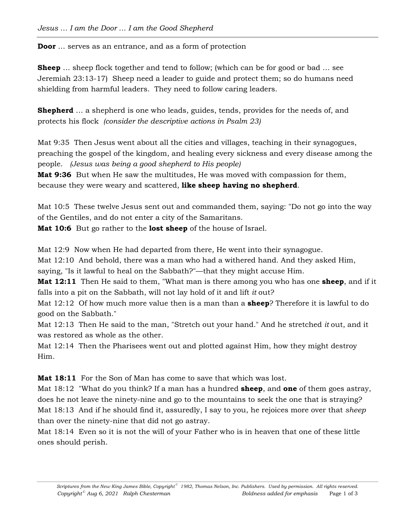**Door** … serves as an entrance, and as a form of protection

**Sheep** ... sheep flock together and tend to follow; (which can be for good or bad ... see Jeremiah 23:13-17) Sheep need a leader to guide and protect them; so do humans need shielding from harmful leaders. They need to follow caring leaders.

**Shepherd** ... a shepherd is one who leads, guides, tends, provides for the needs of, and protects his flock *(consider the descriptive actions in Psalm 23)*

Mat 9:35 Then Jesus went about all the cities and villages, teaching in their synagogues, preaching the gospel of the kingdom, and healing every sickness and every disease among the people. *(Jesus was being a good shepherd to His people)*

**Mat 9:36** But when He saw the multitudes, He was moved with compassion for them, because they were weary and scattered, **like sheep having no shepherd**.

Mat 10:5 These twelve Jesus sent out and commanded them, saying: "Do not go into the way of the Gentiles, and do not enter a city of the Samaritans.

**Mat 10:6** But go rather to the **lost sheep** of the house of Israel.

Mat 12:9 Now when He had departed from there, He went into their synagogue.

Mat 12:10 And behold, there was a man who had a withered hand. And they asked Him,

saying, "Is it lawful to heal on the Sabbath?"—that they might accuse Him.

**Mat 12:11** Then He said to them, "What man is there among you who has one **sheep**, and if it falls into a pit on the Sabbath, will not lay hold of it and lift *it* out?

Mat 12:12 Of how much more value then is a man than a **sheep**? Therefore it is lawful to do good on the Sabbath."

Mat 12:13 Then He said to the man, "Stretch out your hand." And he stretched *it* out, and it was restored as whole as the other.

Mat 12:14 Then the Pharisees went out and plotted against Him, how they might destroy Him.

**Mat 18:11** For the Son of Man has come to save that which was lost.

Mat 18:12 "What do you think? If a man has a hundred **sheep**, and **one** of them goes astray, does he not leave the ninety-nine and go to the mountains to seek the one that is straying? Mat 18:13 And if he should find it, assuredly, I say to you, he rejoices more over that *sheep* than over the ninety-nine that did not go astray.

Mat 18:14 Even so it is not the will of your Father who is in heaven that one of these little ones should perish.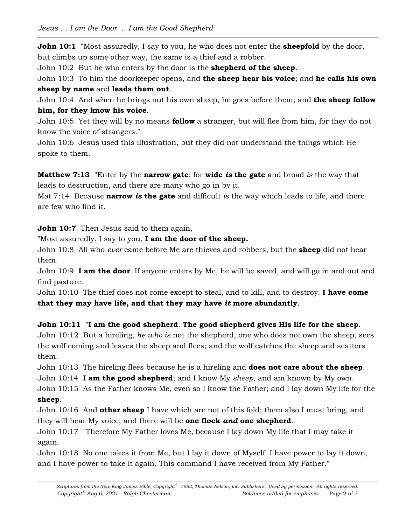**John 10:1** "Most assuredly, I say to you, he who does not enter the **sheepfold** by the door, but climbs up some other way, the same is a thief and a robber.

John 10:2 But he who enters by the door is the **shepherd of the sheep**.

John 10:3 To him the doorkeeper opens, and **the sheep hear his voice**; and **he calls his own sheep by name** and **leads them out**.

John 10:4 And when he brings out his own sheep, he goes before them; and **the sheep follow him, for they know his voice**.

John 10:5 Yet they will by no means **follow** a stranger, but will flee from him, for they do not know the voice of strangers."

John 10:6 Jesus used this illustration, but they did not understand the things which He spoke to them.

**Matthew 7:13** "Enter by the **narrow gate**; for **wide** *is* **the gate** and broad *is* the way that leads to destruction, and there are many who go in by it.

Mat 7:14 Because **narrow** *is* **the gate** and difficult *is* the way which leads to life, and there are few who find it.

**John 10:7** Then Jesus said to them again,

"Most assuredly, I say to you, **I am the door of the sheep.**

John 10:8 All who *ever* came before Me are thieves and robbers, but the **sheep** did not hear them.

John 10:9 **I am the door**. If anyone enters by Me, he will be saved, and will go in and out and find pasture.

John 10:10 The thief does not come except to steal, and to kill, and to destroy. **I have come that they may have life, and that they may have** *it* **more abundantly**.

**John 10:11** "**I am the good shepherd**. **The good shepherd gives His life for the sheep**.

John 10:12 But a hireling, *he who is* not the shepherd, one who does not own the sheep, sees the wolf coming and leaves the sheep and flees; and the wolf catches the sheep and scatters them.

John 10:13 The hireling flees because he is a hireling and **does not care about the sheep**. John 10:14 **I am the good shepherd**; and I know My *sheep,* and am known by My own. John 10:15 As the Father knows Me, even so I know the Father; and I lay down My life for the **sheep**.

John 10:16 And **other sheep** I have which are not of this fold; them also I must bring, and they will hear My voice; and there will be **one flock** *and* **one shepherd**.

John 10:17 "Therefore My Father loves Me, because I lay down My life that I may take it again.

John 10:18 No one takes it from Me, but I lay it down of Myself. I have power to lay it down, and I have power to take it again. This command I have received from My Father."